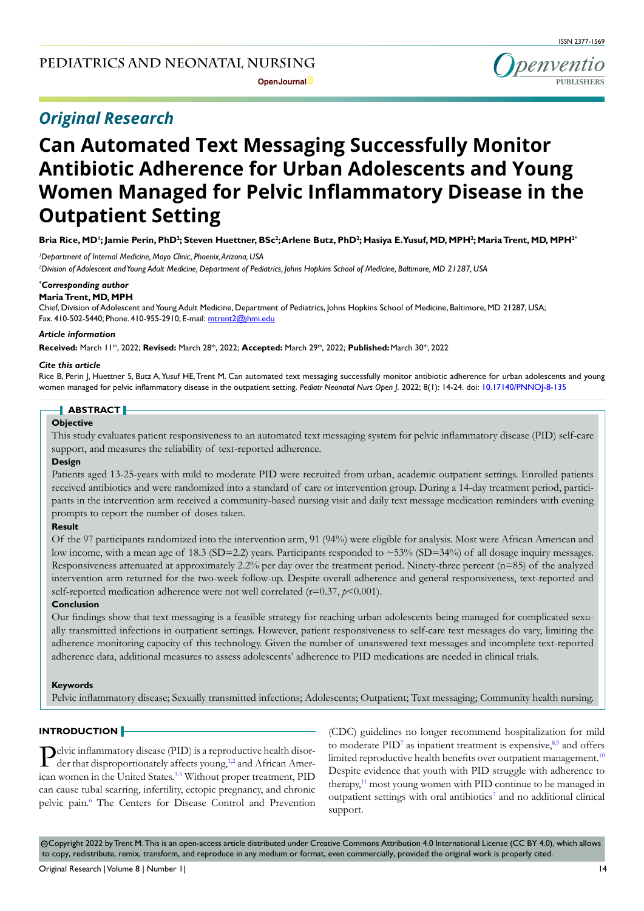## *Original Research*

# **Can Automated Text Messaging Successfully Monitor Antibiotic Adherence for Urban Adolescents and Young Women Managed for Pelvic Inflammatory Disease in the Outpatient Setting**

Bria Rice, MD'; Jamie Perin, PhD<sup>2</sup>; Steven Huettner, BSc<sup>2</sup>;Arlene Butz, PhD<sup>2</sup>; Hasiya E.Yusuf, MD, MPH<sup>2</sup>; Maria Trent, MD, MPH<sup>2</sup>'

*1 Department of Internal Medicine, Mayo Clinic, Phoenix, Arizona, USA*

*2 Division of Adolescent and Young Adult Medicine, Department of Pediatrics, Johns Hopkins School of Medicine, Baltimore, MD 21287, USA*

### *\* Corresponding author*

**Maria Trent, MD, MPH** Chief, Division of Adolescent and Young Adult Medicine, Department of Pediatrics, Johns Hopkins School of Medicine, Baltimore, MD 21287, USA; Fax. 410-502-5440; Phone. 410-955-2910; E-mail: mtrent2@jhmi.edu

### *Article information*

**Received:** March 11th, 2022; **Revised:** March 28th, 2022; **Accepted:** March 29th, 2022; **Published:** March 30th, 2022

### *Cite this article*

Rice B, Perin J, Huettner S, Butz A, Yusuf HE, Trent M. Can automated text messaging successfully monitor antibiotic adherence for urban adolescents and young women managed for pelvic inflammatory disease in the outpatient setting. *Pediatr Neonatal Nurs Open J*. 2022; 8(1): 14-24. doi: [10.17140/PNNOJ-8-135](http://dx.doi.org/10.17140/PNNOJ-8-135)

### **ABSTRACT**

### **Objective**

This study evaluates patient responsiveness to an automated text messaging system for pelvic inflammatory disease (PID) self-care support, and measures the reliability of text-reported adherence.

### **Design**

Patients aged 13-25-years with mild to moderate PID were recruited from urban, academic outpatient settings. Enrolled patients received antibiotics and were randomized into a standard of care or intervention group. During a 14-day treatment period, participants in the intervention arm received a community-based nursing visit and daily text message medication reminders with evening prompts to report the number of doses taken.

### **Result**

Of the 97 participants randomized into the intervention arm, 91 (94%) were eligible for analysis. Most were African American and low income, with a mean age of 18.3 (SD=2.2) years. Participants responded to ~53% (SD=34%) of all dosage inquiry messages. Responsiveness attenuated at approximately 2.2% per day over the treatment period. Ninety-three percent (n=85) of the analyzed intervention arm returned for the two-week follow-up. Despite overall adherence and general responsiveness, text-reported and self-reported medication adherence were not well correlated  $(r=0.37, p<0.001)$ .

### **Conclusion**

Our findings show that text messaging is a feasible strategy for reaching urban adolescents being managed for complicated sexually transmitted infections in outpatient settings. However, patient responsiveness to self-care text messages do vary, limiting the adherence monitoring capacity of this technology. Given the number of unanswered text messages and incomplete text-reported adherence data, additional measures to assess adolescents' adherence to PID medications are needed in clinical trials.

### **Keywords**

Pelvic inflammatory disease; Sexually transmitted infections; Adolescents; Outpatient; Text messaging; Community health nursing.

### **INTRODUCTION**

Pelvic inflammatory disease (PID) is a repr[od](#page-5-0)uctive health disorder that disproportionately affects young,<sup>1,2</sup> and African American women in the United States.<sup>3-5</sup> Without proper treatment, PID can cause tubal scarring, infertility, ectopic pregnancy, and chronic pelvic pain.<sup>[6](#page-6-0)</sup> The Centers for Disease Control and Prevention (CDC) guidelines no longer recommend hospitalization for mild to moderate PID<sup>[7](#page-6-1)</sup> as inpatient treatment is expensive,<sup>[8,9](#page-6-2)</sup> and offers limited reproductive health benefits over outpatient management.<sup>[10](#page-6-3)</sup> Despite evidence that youth with PID struggle with adherence to therapy,<sup>[11](#page-6-4)</sup> most young women with PID continue to be managed in outpatient settings with oral antibiotics<sup>[7](#page-6-1)</sup> and no additional clinical support.

 $\odot$ Copyright 2022 by Trent M. This is an open-access article distributed under Creative Commons Attribution 4.0 International License (CC BY 4.0), which allows to copy, redistribute, remix, transform, and reproduce in any medium or format, even commercially, provided the original work is properly cited.

**PUBLISHERS**

penventio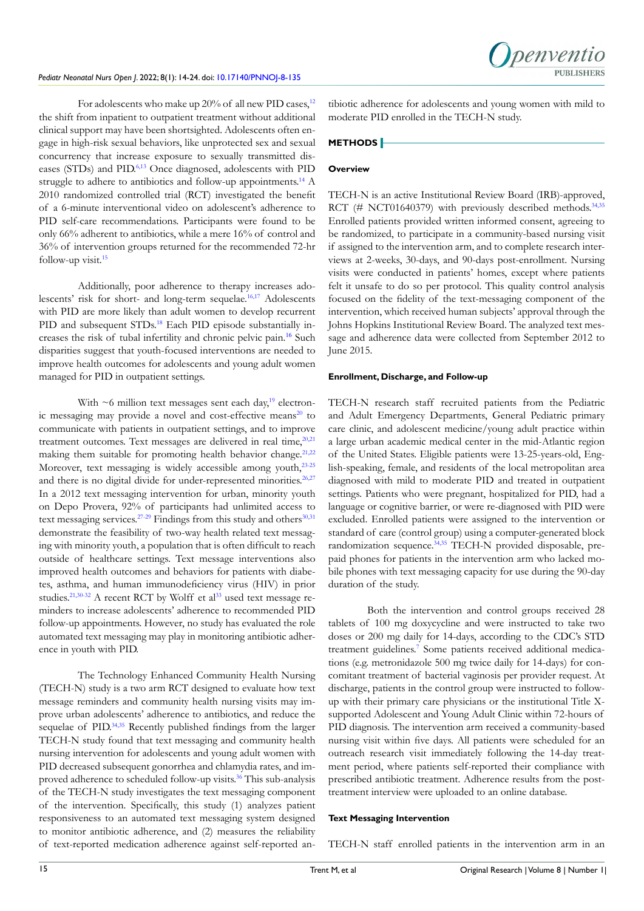

For adolescents who make up  $20\%$  of all new PID cases,<sup>12</sup> the shift from inpatient to outpatient treatment without additional clinical support may have been shortsighted. Adolescents often engage in high-risk sexual behaviors, like unprotected sex and sexual concurrency that increase exposure to sexually transmitted diseases (STDs) and PID.[6,](#page-6-0)[13](#page-6-6) Once diagnosed, adolescents with PID struggle to adhere to antibiotics and follow-up appointments.<sup>14</sup> A 2010 randomized controlled trial (RCT) investigated the benefit of a 6-minute interventional video on adolescent's adherence to PID self-care recommendations. Participants were found to be only 66% adherent to antibiotics, while a mere 16% of control and 36% of intervention groups returned for the recommended 72-hr follow-up visit[.15](#page-6-8)

Additionally, poor adherence to therapy increases adolescents' risk for short- and long-term sequelae.<sup>16,17</sup> Adolescents with PID are more likely than adult women to develop recurrent PID and subsequent STDs.<sup>[18](#page-6-10)</sup> Each PID episode substantially increases the risk of tubal infertility and chronic pelvic pain.[16](#page-6-9) Such disparities suggest that youth-focused interventions are needed to improve health outcomes for adolescents and young adult women managed for PID in outpatient settings.

With  $\sim$ 6 million text messages sent each day,<sup>[19](#page-6-11)</sup> electronic messaging may provide a novel and cost-effective means<sup>20</sup> to communicate with patients in outpatient settings, and to improve treatment outcomes. Text messages are delivered in real time, $20,21$ making them suitable for promoting health behavior change.<sup>21,22</sup> Moreover, text messaging is widely accessible among youth,<sup>[23-25](#page-6-14)</sup> and there is no digital divide for under-represented minorities.<sup>26,27</sup> In a 2012 text messaging intervention for urban, minority youth on Depo Provera, 92% of participants had unlimited access to text messaging services.<sup>27-29</sup> Findings from this study and others<sup>[30,31](#page-7-0)</sup> demonstrate the feasibility of two-way health related text messaging with minority youth, a population that is often difficult to reach outside of healthcare settings. Text message interventions also improved health outcomes and behaviors for patients with diabetes, asthma, and human immunodeficiency virus (HIV) in prior studies.<sup>21,30-32</sup> A recent RCT by Wolff et al<sup>33</sup> used text message reminders to increase adolescents' adherence to recommended PID follow-up appointments. However, no study has evaluated the role automated text messaging may play in monitoring antibiotic adherence in youth with PID.

The Technology Enhanced Community Health Nursing (TECH-N) study is a two arm RCT designed to evaluate how text message reminders and community health nursing visits may improve urban adolescents' adherence to antibiotics, and reduce the sequelae of PID.<sup>34,35</sup> Recently published findings from the larger TECH-N study found that text messaging and community health nursing intervention for adolescents and young adult women with PID decreased subsequent gonorrhea and chlamydia rates, and improved adherence to scheduled follow-up visits.<sup>36</sup> This sub-analysis of the TECH-N study investigates the text messaging component of the intervention. Specifically, this study (1) analyzes patient responsiveness to an automated text messaging system designed to monitor antibiotic adherence, and (2) measures the reliability of text-reported medication adherence against self-reported antibiotic adherence for adolescents and young women with mild to moderate PID enrolled in the TECH-N study.

### **METHODS**

### **Overview**

TECH-N is an active Institutional Review Board (IRB)-approved, RCT (# NCT01640379) with previously described methods.<sup>34,35</sup> Enrolled patients provided written informed consent, agreeing to be randomized, to participate in a community-based nursing visit if assigned to the intervention arm, and to complete research interviews at 2-weeks, 30-days, and 90-days post-enrollment. Nursing visits were conducted in patients' homes, except where patients felt it unsafe to do so per protocol. This quality control analysis focused on the fidelity of the text-messaging component of the intervention, which received human subjects' approval through the Johns Hopkins Institutional Review Board. The analyzed text message and adherence data were collected from September 2012 to June 2015.

### **Enrollment, Discharge, and Follow-up**

TECH-N research staff recruited patients from the Pediatric and Adult Emergency Departments, General Pediatric primary care clinic, and adolescent medicine/young adult practice within a large urban academic medical center in the mid-Atlantic region of the United States. Eligible patients were 13-25-years-old, English-speaking, female, and residents of the local metropolitan area diagnosed with mild to moderate PID and treated in outpatient settings. Patients who were pregnant, hospitalized for PID, had a language or cognitive barrier, or were re-diagnosed with PID were excluded. Enrolled patients were assigned to the intervention or standard of care (control group) using a computer-generated block randomization sequence[.34,35](#page-7-2) TECH-N provided disposable, prepaid phones for patients in the intervention arm who lacked mobile phones with text messaging capacity for use during the 90-day duration of the study.

Both the intervention and control groups received 28 tablets of 100 mg doxycycline and were instructed to take two doses or 200 mg daily for 14-days, according to the CDC's STD treatment guidelines.<sup>[7](#page-6-1)</sup> Some patients received additional medications (e.g. metronidazole 500 mg twice daily for 14-days) for concomitant treatment of bacterial vaginosis per provider request. At discharge, patients in the control group were instructed to followup with their primary care physicians or the institutional Title Xsupported Adolescent and Young Adult Clinic within 72-hours of PID diagnosis. The intervention arm received a community-based nursing visit within five days. All patients were scheduled for an outreach research visit immediately following the 14-day treatment period, where patients self-reported their compliance with prescribed antibiotic treatment. Adherence results from the posttreatment interview were uploaded to an online database.

#### **Text Messaging Intervention**

TECH-N staff enrolled patients in the intervention arm in an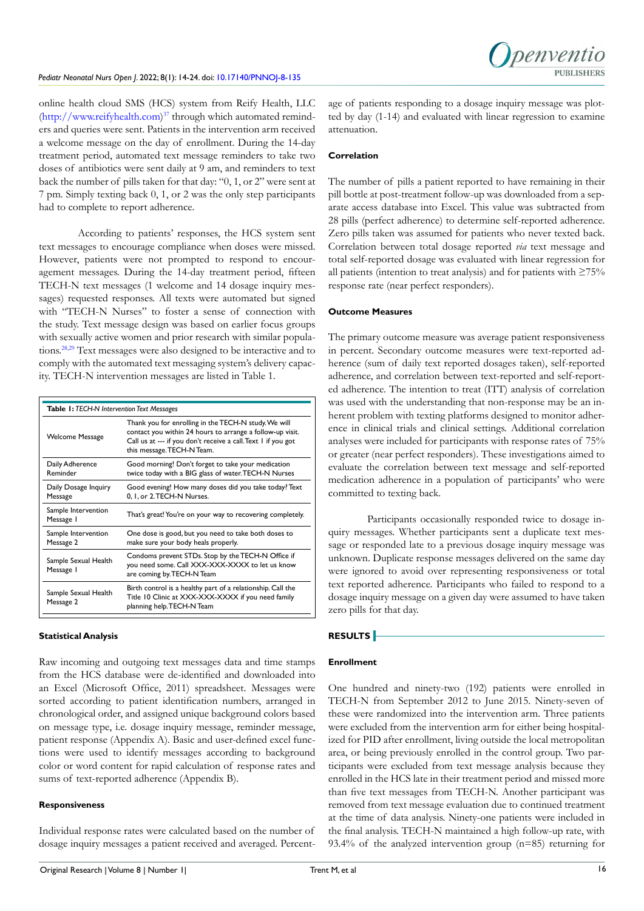

online health cloud SMS (HCS) system from Reify Health, LLC (<http://www.reifyhealth.com>) [37](#page-5-0) through which automated reminders and queries were sent. Patients in the intervention arm received a welcome message on the day of enrollment. During the 14-day treatment period, automated text message reminders to take two doses of antibiotics were sent daily at 9 am, and reminders to text back the number of pills taken for that day: "0, 1, or 2" were sent at 7 pm. Simply texting back 0, 1, or 2 was the only step participants had to complete to report adherence.

According to patients' responses, the HCS system sent text messages to encourage compliance when doses were missed. However, patients were not prompted to respond to encouragement messages. During the 14-day treatment period, fifteen TECH-N text messages (1 welcome and 14 dosage inquiry messages) requested responses. All texts were automated but signed with "TECH-N Nurses" to foster a sense of connection with the study. Text message design was based on earlier focus groups with sexually active women and prior research with similar populations.[28,29](#page-7-4) Text messages were also designed to be interactive and to comply with the automated text messaging system's delivery capacity. TECH-N intervention messages are listed in Table 1.

| <b>Table 1: TECH-N Intervention Text Messages</b> |                                                                                                                                                                                                                  |  |  |  |  |
|---------------------------------------------------|------------------------------------------------------------------------------------------------------------------------------------------------------------------------------------------------------------------|--|--|--|--|
| <b>Welcome Message</b>                            | Thank you for enrolling in the TECH-N study. We will<br>contact you within 24 hours to arrange a follow-up visit.<br>Call us at --- if you don't receive a call. Text I if you got<br>this message. TECH-N Team. |  |  |  |  |
| Daily Adherence<br>Reminder                       | Good morning! Don't forget to take your medication<br>twice today with a BIG glass of water. TECH-N Nurses                                                                                                       |  |  |  |  |
| Daily Dosage Inquiry<br>Message                   | Good evening! How many doses did you take today? Text<br>0. I. or 2. TECH-N Nurses.                                                                                                                              |  |  |  |  |
| Sample Intervention<br>Message I                  | That's great! You're on your way to recovering completely.                                                                                                                                                       |  |  |  |  |
| Sample Intervention<br>Message 2                  | One dose is good, but you need to take both doses to<br>make sure your body heals properly.                                                                                                                      |  |  |  |  |
| Sample Sexual Health<br>Message I                 | Condoms prevent STDs. Stop by the TECH-N Office if<br>you need some. Call XXX-XXX-XXXX to let us know<br>are coming by TECH-N Team                                                                               |  |  |  |  |
| Sample Sexual Health<br>Message 2                 | Birth control is a healthy part of a relationship. Call the<br>Title 10 Clinic at XXX-XXX-XXXX if you need family<br>planning help. TECH-N Team                                                                  |  |  |  |  |

### **Statistical Analysis**

Raw incoming and outgoing text messages data and time stamps from the HCS database were de-identified and downloaded into an Excel (Microsoft Office, 2011) spreadsheet. Messages were sorted according to patient identification numbers, arranged in chronological order, and assigned unique background colors based on message type, i.e. dosage inquiry message, reminder message, patient response (Appendix A). Basic and user-defined excel functions were used to identify messages according to background color or word content for rapid calculation of response rates and sums of text-reported adherence (Appendix B).

### **Responsiveness**

Individual response rates were calculated based on the number of dosage inquiry messages a patient received and averaged. Percentage of patients responding to a dosage inquiry message was plotted by day (1-14) and evaluated with linear regression to examine attenuation.

### **Correlation**

The number of pills a patient reported to have remaining in their pill bottle at post-treatment follow-up was downloaded from a separate access database into Excel. This value was subtracted from 28 pills (perfect adherence) to determine self-reported adherence. Zero pills taken was assumed for patients who never texted back. Correlation between total dosage reported *via* text message and total self-reported dosage was evaluated with linear regression for all patients (intention to treat analysis) and for patients with ≥75% response rate (near perfect responders).

### **Outcome Measures**

The primary outcome measure was average patient responsiveness in percent. Secondary outcome measures were text-reported adherence (sum of daily text reported dosages taken), self-reported adherence, and correlation between text-reported and self-reported adherence. The intention to treat (ITT) analysis of correlation was used with the understanding that non-response may be an inherent problem with texting platforms designed to monitor adherence in clinical trials and clinical settings. Additional correlation analyses were included for participants with response rates of 75% or greater (near perfect responders). These investigations aimed to evaluate the correlation between text message and self-reported medication adherence in a population of participants' who were committed to texting back.

Participants occasionally responded twice to dosage inquiry messages. Whether participants sent a duplicate text message or responded late to a previous dosage inquiry message was unknown. Duplicate response messages delivered on the same day were ignored to avoid over representing responsiveness or total text reported adherence. Participants who failed to respond to a dosage inquiry message on a given day were assumed to have taken zero pills for that day.

### **RESULTS**

### **Enrollment**

One hundred and ninety-two (192) patients were enrolled in TECH-N from September 2012 to June 2015. Ninety-seven of these were randomized into the intervention arm. Three patients were excluded from the intervention arm for either being hospitalized for PID after enrollment, living outside the local metropolitan area, or being previously enrolled in the control group. Two participants were excluded from text message analysis because they enrolled in the HCS late in their treatment period and missed more than five text messages from TECH-N. Another participant was removed from text message evaluation due to continued treatment at the time of data analysis. Ninety-one patients were included in the final analysis. TECH-N maintained a high follow-up rate, with 93.4% of the analyzed intervention group (n=85) returning for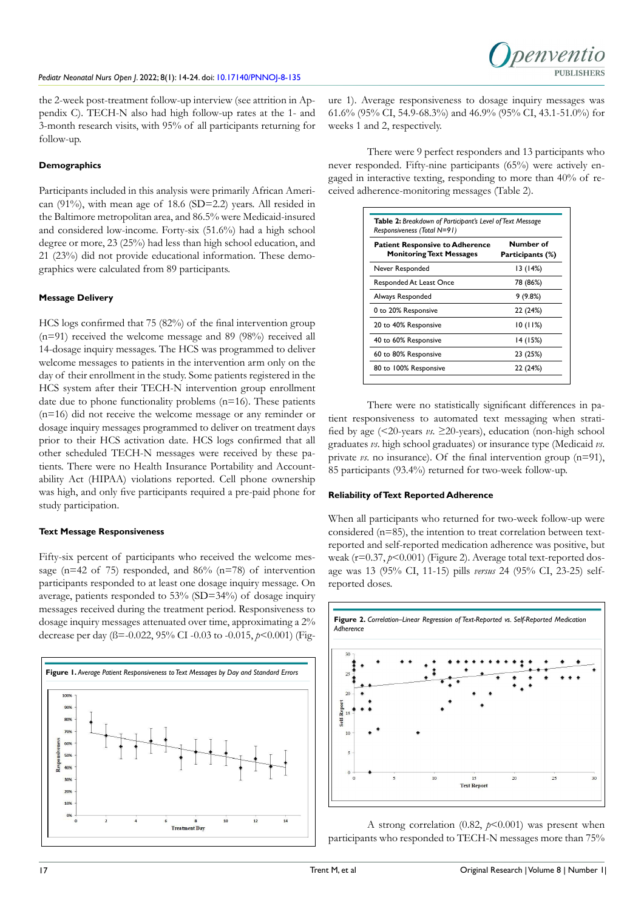the 2-week post-treatment follow-up interview (see attrition in Appendix C). TECH-N also had high follow-up rates at the 1- and 3-month research visits, with 95% of all participants returning for follow-up.

### **Demographics**

Participants included in this analysis were primarily African American (91%), with mean age of 18.6 (SD=2.2) years. All resided in the Baltimore metropolitan area, and 86.5% were Medicaid-insured and considered low-income. Forty-six (51.6%) had a high school degree or more, 23 (25%) had less than high school education, and 21 (23%) did not provide educational information. These demographics were calculated from 89 participants.

### **Message Delivery**

HCS logs confirmed that 75 (82%) of the final intervention group (n=91) received the welcome message and 89 (98%) received all 14-dosage inquiry messages. The HCS was programmed to deliver welcome messages to patients in the intervention arm only on the day of their enrollment in the study. Some patients registered in the HCS system after their TECH-N intervention group enrollment date due to phone functionality problems (n=16). These patients (n=16) did not receive the welcome message or any reminder or dosage inquiry messages programmed to deliver on treatment days prior to their HCS activation date. HCS logs confirmed that all other scheduled TECH-N messages were received by these patients. There were no Health Insurance Portability and Accountability Act (HIPAA) violations reported. Cell phone ownership was high, and only five participants required a pre-paid phone for study participation.

### **Text Message Responsiveness**

Fifty-six percent of participants who received the welcome message ( $n=42$  of 75) responded, and 86% ( $n=78$ ) of intervention participants responded to at least one dosage inquiry message. On average, patients responded to 53% (SD=34%) of dosage inquiry messages received during the treatment period. Responsiveness to dosage inquiry messages attenuated over time, approximating a 2% decrease per day (ß=-0.022, 95% CI -0.03 to -0.015, *p*<0.001) (Fig-



ure 1). Average responsiveness to dosage inquiry messages was 61.6% (95% CI, 54.9-68.3%) and 46.9% (95% CI, 43.1-51.0%) for weeks 1 and 2, respectively.

penyentic

**PURLISHERS** 

There were 9 perfect responders and 13 participants who never responded. Fifty-nine participants (65%) were actively engaged in interactive texting, responding to more than 40% of received adherence-monitoring messages (Table 2).

| Responsiveness (Total N=91)                                               |                               |  |
|---------------------------------------------------------------------------|-------------------------------|--|
| <b>Patient Responsive to Adherence</b><br><b>Monitoring Text Messages</b> | Number of<br>Participants (%) |  |
| Never Responded                                                           | 13(14%)                       |  |
| Responded At Least Once                                                   | 78 (86%)                      |  |
| Always Responded                                                          | 9 (9.8%)                      |  |
| 0 to 20% Responsive                                                       | 22 (24%)                      |  |
| 20 to 40% Responsive                                                      | 10(11%)                       |  |
| 40 to 60% Responsive                                                      | 14 (15%)                      |  |
| 60 to 80% Responsive                                                      | 23 (25%)                      |  |
| 80 to 100% Responsive                                                     | 22 (24%)                      |  |

There were no statistically significant differences in patient responsiveness to automated text messaging when stratified by age (<20-years *vs*. ≥20-years), education (non-high school graduates *vs*. high school graduates) or insurance type (Medicaid *vs*. private *vs*. no insurance). Of the final intervention group (n=91), 85 participants (93.4%) returned for two-week follow-up.

### **Reliability of Text Reported Adherence**

When all participants who returned for two-week follow-up were considered (n=85), the intention to treat correlation between textreported and self-reported medication adherence was positive, but weak (r=0.37, *p*<0.001) (Figure 2). Average total text-reported dosage was 13 (95% CI, 11-15) pills *versus* 24 (95% CI, 23-25) selfreported doses.



A strong correlation  $(0.82, p<0.001)$  was present when participants who responded to TECH-N messages more than 75%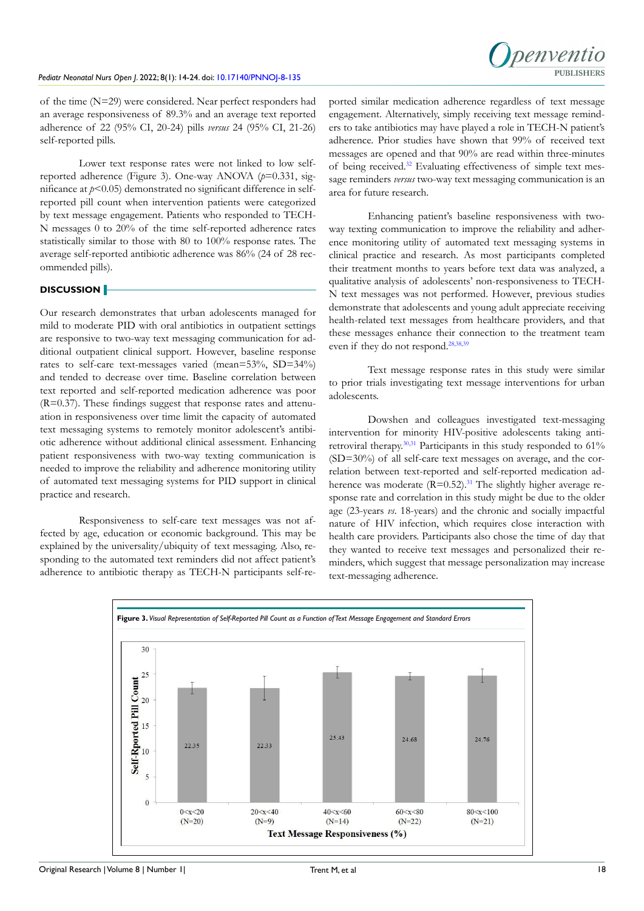

of the time (N=29) were considered. Near perfect responders had an average responsiveness of 89.3% and an average text reported adherence of 22 (95% CI, 20-24) pills *versus* 24 (95% CI, 21-26) self-reported pills.

Lower text response rates were not linked to low selfreported adherence (Figure 3). One-way ANOVA (*p*=0.331, significance at *p*<0.05) demonstrated no significant difference in selfreported pill count when intervention patients were categorized by text message engagement. Patients who responded to TECH-N messages 0 to 20% of the time self-reported adherence rates statistically similar to those with 80 to 100% response rates. The average self-reported antibiotic adherence was 86% (24 of 28 recommended pills).

### **DISCUSSION**

Our research demonstrates that urban adolescents managed for mild to moderate PID with oral antibiotics in outpatient settings are responsive to two-way text messaging communication for additional outpatient clinical support. However, baseline response rates to self-care text-messages varied (mean=53%, SD=34%) and tended to decrease over time. Baseline correlation between text reported and self-reported medication adherence was poor  $(R=0.37)$ . These findings suggest that response rates and attenuation in responsiveness over time limit the capacity of automated text messaging systems to remotely monitor adolescent's antibiotic adherence without additional clinical assessment. Enhancing patient responsiveness with two-way texting communication is needed to improve the reliability and adherence monitoring utility of automated text messaging systems for PID support in clinical practice and research.

Responsiveness to self-care text messages was not affected by age, education or economic background. This may be explained by the universality/ubiquity of text messaging. Also, responding to the automated text reminders did not affect patient's adherence to antibiotic therapy as TECH-N participants self-reported similar medication adherence regardless of text message engagement. Alternatively, simply receiving text message reminders to take antibiotics may have played a role in TECH-N patient's adherence. Prior studies have shown that 99% of received text messages are opened and that 90% are read within three-minutes of being received[.32](#page-7-5) Evaluating effectiveness of simple text message reminders *versus* two-way text messaging communication is an area for future research.

Enhancing patient's baseline responsiveness with twoway texting communication to improve the reliability and adherence monitoring utility of automated text messaging systems in clinical practice and research. As most participants completed their treatment months to years before text data was analyzed, a qualitative analysis of adolescents' non-responsiveness to TECH-N text messages was not performed. However, previous studies demonstrate that adolescents and young adult appreciate receiving health-related text messages from healthcare providers, and that these messages enhance their connection to the treatment team even if they do not respond.<sup>[28,](#page-7-4)[38,39](#page-7-6)</sup>

Text message response rates in this study were similar to prior trials investigating text message interventions for urban adolescents.

Dowshen and colleagues investigated text-messaging intervention for minority HIV-positive adolescents taking antiretroviral therapy.[30,31](#page-7-0) Participants in this study responded to 61% (SD=30%) of all self-care text messages on average, and the correlation between text-reported and self-reported medication adherence was moderate  $(R=0.52)$ .<sup>[31](#page-7-7)</sup> The slightly higher average response rate and correlation in this study might be due to the older age (23-years *vs*. 18-years) and the chronic and socially impactful nature of HIV infection, which requires close interaction with health care providers. Participants also chose the time of day that they wanted to receive text messages and personalized their reminders, which suggest that message personalization may increase text-messaging adherence.

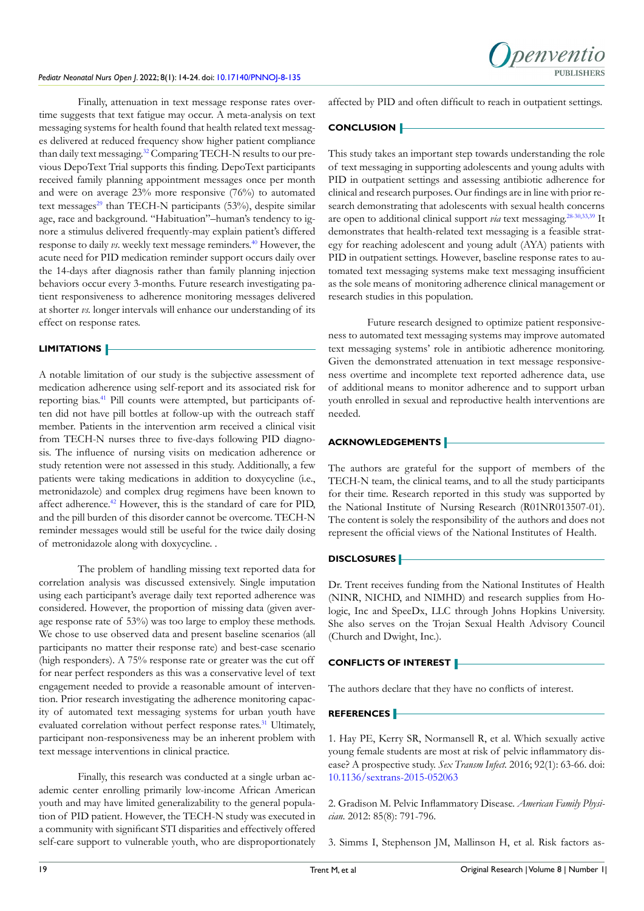Finally, attenuation in text message response rates overtime suggests that text fatigue may occur. A meta-analysis on text messaging systems for health found that health related text messages delivered at reduced frequency show higher patient compliance than daily text messaging[.32](#page-7-5) Comparing TECH-N results to our previous DepoText Trial supports this finding. DepoText participants received family planning appointment messages once per month and were on average 23% more responsive (76%) to automated text messages<sup>29</sup> than TECH-N participants (53%), despite similar age, race and background. "Habituation"–human's tendency to ignore a stimulus delivered frequently-may explain patient's differed response to daily *vs*. weekly text message reminders.[40](#page-7-9) However, the acute need for PID medication reminder support occurs daily over the 14-days after diagnosis rather than family planning injection behaviors occur every 3-months. Future research investigating patient responsiveness to adherence monitoring messages delivered at shorter *vs.* longer intervals will enhance our understanding of its effect on response rates.

### **LIMITATIONS**

A notable limitation of our study is the subjective assessment of medication adherence using self-report and its associated risk for reporting bias.[41](#page-7-10) Pill counts were attempted, but participants often did not have pill bottles at follow-up with the outreach staff member. Patients in the intervention arm received a clinical visit from TECH-N nurses three to five-days following PID diagnosis. The influence of nursing visits on medication adherence or study retention were not assessed in this study. Additionally, a few patients were taking medications in addition to doxycycline (i.e., metronidazole) and complex drug regimens have been known to affect adherence.<sup>[42](#page-7-11)</sup> However, this is the standard of care for PID, and the pill burden of this disorder cannot be overcome. TECH-N reminder messages would still be useful for the twice daily dosing of metronidazole along with doxycycline. .

The problem of handling missing text reported data for correlation analysis was discussed extensively. Single imputation using each participant's average daily text reported adherence was considered. However, the proportion of missing data (given average response rate of 53%) was too large to employ these methods. We chose to use observed data and present baseline scenarios (all participants no matter their response rate) and best-case scenario (high responders). A 75% response rate or greater was the cut off for near perfect responders as this was a conservative level of text engagement needed to provide a reasonable amount of intervention. Prior research investigating the adherence monitoring capacity of automated text messaging systems for urban youth have evaluated correlation without perfect response rates.<sup>[31](#page-7-7)</sup> Ultimately, participant non-responsiveness may be an inherent problem with text message interventions in clinical practice.

Finally, this research was conducted at a single urban academic center enrolling primarily low-income African American youth and may have limited generalizability to the general population of PID patient. However, the TECH-N study was executed in a community with significant STI disparities and effectively offered self-care support to vulnerable youth, who are disproportionately affected by PID and often difficult to reach in outpatient settings.

penyentic

### **CONCLUSION**

This study takes an important step towards understanding the role of text messaging in supporting adolescents and young adults with PID in outpatient settings and assessing antibiotic adherence for clinical and research purposes. Our findings are in line with prior research demonstrating that adolescents with sexual health concerns are open to additional clinical support *via* text messaging[.28-30,](#page-7-4)[33,](#page-7-1)[39](#page-7-12) It demonstrates that health-related text messaging is a feasible strategy for reaching adolescent and young adult (AYA) patients with PID in outpatient settings. However, baseline response rates to automated text messaging systems make text messaging insufficient as the sole means of monitoring adherence clinical management or research studies in this population.

Future research designed to optimize patient responsiveness to automated text messaging systems may improve automated text messaging systems' role in antibiotic adherence monitoring. Given the demonstrated attenuation in text message responsiveness overtime and incomplete text reported adherence data, use of additional means to monitor adherence and to support urban youth enrolled in sexual and reproductive health interventions are needed.

### **ACKNOWLEDGEMENTS**

The authors are grateful for the support of members of the TECH-N team, the clinical teams, and to all the study participants for their time. Research reported in this study was supported by the National Institute of Nursing Research (R01NR013507-01). The content is solely the responsibility of the authors and does not represent the official views of the National Institutes of Health.

### **DISCLOSURES**

Dr. Trent receives funding from the National Institutes of Health (NINR, NICHD, and NIMHD) and research supplies from Hologic, Inc and SpeeDx, LLC through Johns Hopkins University. She also serves on the Trojan Sexual Health Advisory Council (Church and Dwight, Inc.).

### **CONFLICTS OF INTEREST**

The authors declare that they have no conflicts of interest.

### **REFERENCES**

<span id="page-5-0"></span>1. Hay PE, Kerry SR, Normansell R, et al. Which sexually active young female students are most at risk of pelvic inflammatory disease? A prospective study. *Sex Transm Infect.* 2016; 92(1): 63-66. doi: [10.1136/sextrans-2015-052063](http://doi.org/10.1136/sextrans-2015-052063)

2. Gradison M. Pelvic Inflammatory Disease. *American Family Physician*. 2012: 85(8): 791-796.

<span id="page-5-1"></span>3. Simms I, Stephenson JM, Mallinson H, et al. Risk factors as-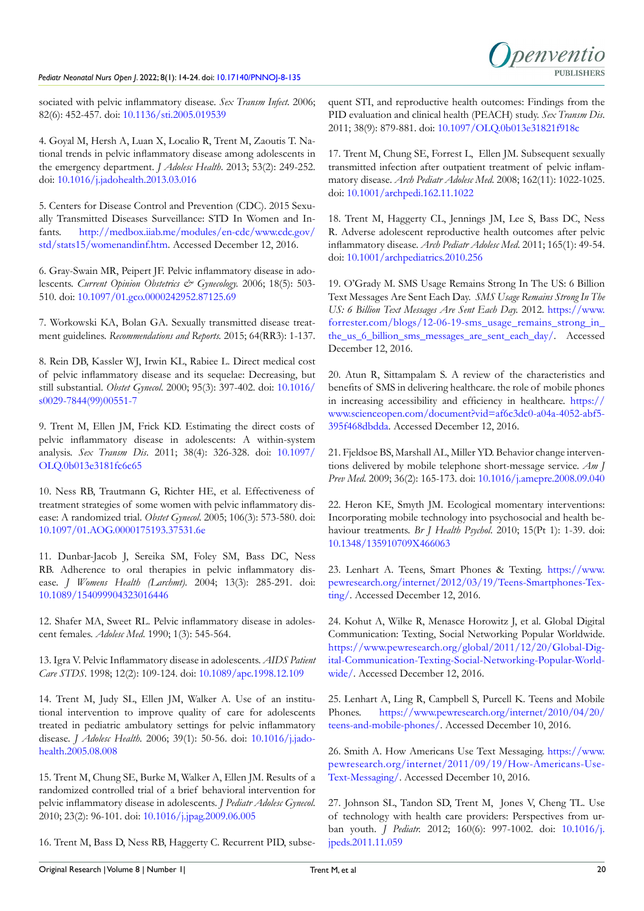sociated with pelvic inflammatory disease. *Sex Transm Infect*. 2006; 82(6): 452-457. doi: [10.1136/sti.2005.019539](http://doi.org/10.1136/sti.2005.019539)

4. Goyal M, Hersh A, Luan X, Localio R, Trent M, Zaoutis T. National trends in pelvic inflammatory disease among adolescents in the emergency department. *J Adolesc Health*. 2013; 53(2): 249-252. doi: [10.1016/j.jadohealth.2013.03.016](http://doi.org/10.1016/j.jadohealth.2013.03.016)

5. Centers for Disease Control and Prevention (CDC). 2015 Sexually Transmitted Diseases Surveillance: STD In Women and Infants. [http://medbox.iiab.me/modules/en-cdc/www.cdc.gov/](http://medbox.iiab.me/modules/en-cdc/www.cdc.gov/std/stats15/womenandinf.htm) [std/stats15/womenandinf.htm](http://medbox.iiab.me/modules/en-cdc/www.cdc.gov/std/stats15/womenandinf.htm). Accessed December 12, 2016.

<span id="page-6-0"></span>6. Gray-Swain MR, Peipert JF. Pelvic inflammatory disease in adolescents. *Current Opinion Obstetrics & Gynecology*. 2006; 18(5): 503-510. doi: [10.1097/01.gco.0000242952.87125.69](http://doi.org/10.1097/01.gco.0000242952.87125.69)

<span id="page-6-1"></span>7. Workowski KA, Bolan GA. Sexually transmitted disease treatment guidelines. *Recommendations and Reports.* 2015; 64(RR3): 1-137.

<span id="page-6-2"></span>8. Rein DB, Kassler WJ, Irwin KL, Rabiee L. Direct medical cost of pelvic inflammatory disease and its sequelae: Decreasing, but still substantial. *Obstet Gynecol*. 2000; 95(3): 397-402. doi: [10.1016/](http://doi.org/10.1016/s0029-7844(99)00551-7) [s0029-7844\(99\)00551-7](http://doi.org/10.1016/s0029-7844(99)00551-7)

9. Trent M, Ellen JM, Frick KD. Estimating the direct costs of pelvic inflammatory disease in adolescents: A within-system analysis. *Sex Transm Dis*. 2011; 38(4): 326-328. doi: [10.1097/](http://doi.org/10.1097/OLQ.0b013e3181fc6c65) [OLQ.0b013e3181fc6c65](http://doi.org/10.1097/OLQ.0b013e3181fc6c65)

<span id="page-6-3"></span>10. Ness RB, Trautmann G, Richter HE, et al. Effectiveness of treatment strategies of some women with pelvic inflammatory disease: A randomized trial. *Obstet Gynecol*. 2005; 106(3): 573-580. doi: [10.1097/01.AOG.0000175193.37531.6e](http://doi.org/10.1097/01.AOG.0000175193.37531.6e)

<span id="page-6-4"></span>11. Dunbar-Jacob J, Sereika SM, Foley SM, Bass DC, Ness RB. Adherence to oral therapies in pelvic inflammatory disease. *J Womens Health (Larchmt)*. 2004; 13(3): 285-291. doi: [10.1089/154099904323016446](http://doi.org/10.1089/154099904323016446)

<span id="page-6-5"></span>12. Shafer MA, Sweet RL. Pelvic inflammatory disease in adolescent females. *Adolesc Med*. 1990; 1(3): 545-564.

<span id="page-6-6"></span>13. Igra V. Pelvic Inflammatory disease in adolescents. *AIDS Patient Care STDS*. 1998; 12(2): 109-124. doi: [10.1089/apc.1998.12.109](http://doi.org/10.1089/apc.1998.12.109)

<span id="page-6-7"></span>14. Trent M, Judy SL, Ellen JM, Walker A. Use of an institutional intervention to improve quality of care for adolescents treated in pediatric ambulatory settings for pelvic inflammatory disease. *J Adolesc Health*. 2006; 39(1): 50-56. doi: [10.1016/j.jado](http://doi.org/10.1016/j.jadohealth.2005.08.008)[health.2005.08.008](http://doi.org/10.1016/j.jadohealth.2005.08.008)

<span id="page-6-8"></span>15. Trent M, Chung SE, Burke M, Walker A, Ellen JM. Results of a randomized controlled trial of a brief behavioral intervention for pelvic inflammatory disease in adolescents. *J Pediatr Adolesc Gynecol*. 2010; 23(2): 96-101. doi: [10.1016/j.jpag.2009.06.005](http://doi.org/10.1016/j.jpag.2009.06.005)

<span id="page-6-9"></span>16. Trent M, Bass D, Ness RB, Haggerty C. Recurrent PID, subse-

quent STI, and reproductive health outcomes: Findings from the PID evaluation and clinical health (PEACH) study. *Sex Transm Dis*. 2011; 38(9): 879-881. doi: [10.1097/OLQ.0b013e31821f918c](http://doi.org/10.1097/OLQ.0b013e31821f918c )

17. Trent M, Chung SE, Forrest L, Ellen JM. Subsequent sexually transmitted infection after outpatient treatment of pelvic inflammatory disease. *Arch Pediatr Adolesc Med*. 2008; 162(11): 1022-1025. doi: [10.1001/archpedi.162.11.1022](http://doi.org/10.1001/archpedi.162.11.1022)

<span id="page-6-10"></span>18. Trent M, Haggerty CL, Jennings JM, Lee S, Bass DC, Ness R. Adverse adolescent reproductive health outcomes after pelvic inflammatory disease. *Arch Pediatr Adolesc Med*. 2011; 165(1): 49-54. doi: [10.1001/archpediatrics.2010.256](http://doi.org/10.1001/archpediatrics.2010.256)

<span id="page-6-11"></span>19. O'Grady M. SMS Usage Remains Strong In The US: 6 Billion Text Messages Are Sent Each Day. *SMS Usage Remains Strong In The US: 6 Billion Text Messages Are Sent Each Day.* 2012. [https://www.](https://www.forrester.com/blogs/12-06-19-sms_usage_remains_strong_in_the_us_6_billion_sms_messages_are_sent_each_day/) [forrester.com/blogs/12-06-19-sms\\_usage\\_remains\\_strong\\_in\\_](https://www.forrester.com/blogs/12-06-19-sms_usage_remains_strong_in_the_us_6_billion_sms_messages_are_sent_each_day/) [the\\_us\\_6\\_billion\\_sms\\_messages\\_are\\_sent\\_each\\_day/](https://www.forrester.com/blogs/12-06-19-sms_usage_remains_strong_in_the_us_6_billion_sms_messages_are_sent_each_day/). Accessed December 12, 2016.

<span id="page-6-12"></span>20. Atun R, Sittampalam S. A review of the characteristics and benefits of SMS in delivering healthcare. the role of mobile phones in increasing accessibility and efficiency in healthcare. [https://](https://www.scienceopen.com/document?vid=af6c3dc0-a04a-4052-abf5-395f468dbdda) [www.scienceopen.com/document?vid=af6c3dc0-a04a-4052-abf5-](https://www.scienceopen.com/document?vid=af6c3dc0-a04a-4052-abf5-395f468dbdda) [395f468dbdda](https://www.scienceopen.com/document?vid=af6c3dc0-a04a-4052-abf5-395f468dbdda). Accessed December 12, 2016.

<span id="page-6-13"></span>21. Fjeldsoe BS, Marshall AL, Miller YD. Behavior change interventions delivered by mobile telephone short-message service. *Am J Prev Med*. 2009; 36(2): 165-173. doi: [10.1016/j.amepre.2008.09.040](http://doi.org/10.1016/j.amepre.2008.09.040 )

22. Heron KE, Smyth JM. Ecological momentary interventions: Incorporating mobile technology into psychosocial and health behaviour treatments. *Br J Health Psychol*. 2010; 15(Pt 1): 1-39. doi: [10.1348/135910709X466063](http://doi.org/10.1348/135910709X466063)

<span id="page-6-14"></span>23. Lenhart A. Teens, Smart Phones & Texting. [https://www.](https://www.pewresearch.org/internet/2012/03/19/Teens-Smartphones-Texting/) [pewresearch.org/internet/2012/03/19/Teens-Smartphones-Tex](https://www.pewresearch.org/internet/2012/03/19/Teens-Smartphones-Texting/)[ting/](https://www.pewresearch.org/internet/2012/03/19/Teens-Smartphones-Texting/). Accessed December 12, 2016.

24. Kohut A, Wilke R, Menasce Horowitz J, et al. Global Digital Communication: Texting, Social Networking Popular Worldwide. [https://www.pewresearch.org/global/2011/12/20/Global-Dig](https://www.pewresearch.org/global/2011/12/20/Global-Digital-Communication-Texting-Social-Networking-Popular-Worldwide/)[ital-Communication-Texting-Social-Networking-Popular-World](https://www.pewresearch.org/global/2011/12/20/Global-Digital-Communication-Texting-Social-Networking-Popular-Worldwide/)[wide/.](https://www.pewresearch.org/global/2011/12/20/Global-Digital-Communication-Texting-Social-Networking-Popular-Worldwide/) Accessed December 12, 2016.

25. Lenhart A, Ling R, Campbell S, Purcell K. Teens and Mobile Phones. [https://www.pewresearch.org/internet/2010/04/20/](https://www.pewresearch.org/internet/2010/04/20/teens-and-mobile-phones/) [teens-and-mobile-phones/](https://www.pewresearch.org/internet/2010/04/20/teens-and-mobile-phones/). Accessed December 10, 2016.

<span id="page-6-15"></span>26. Smith A. How Americans Use Text Messaging. [https://www.](https://www.pewresearch.org/internet/2011/09/19/How-Americans-Use-Text-Messaging/) [pewresearch.org/internet/2011/09/19/How-Americans-Use-](https://www.pewresearch.org/internet/2011/09/19/How-Americans-Use-Text-Messaging/)[Text-Messaging/](https://www.pewresearch.org/internet/2011/09/19/How-Americans-Use-Text-Messaging/). Accessed December 10, 2016.

<span id="page-6-16"></span>27. Johnson SL, Tandon SD, Trent M, Jones V, Cheng TL. Use of technology with health care providers: Perspectives from urban youth. *J Pediatr.* 2012; 160(6): 997-1002. doi: [10.1016/j.](http://doi.org/10.1016/j.jpeds.2011.11.059) [jpeds.2011.11.059](http://doi.org/10.1016/j.jpeds.2011.11.059)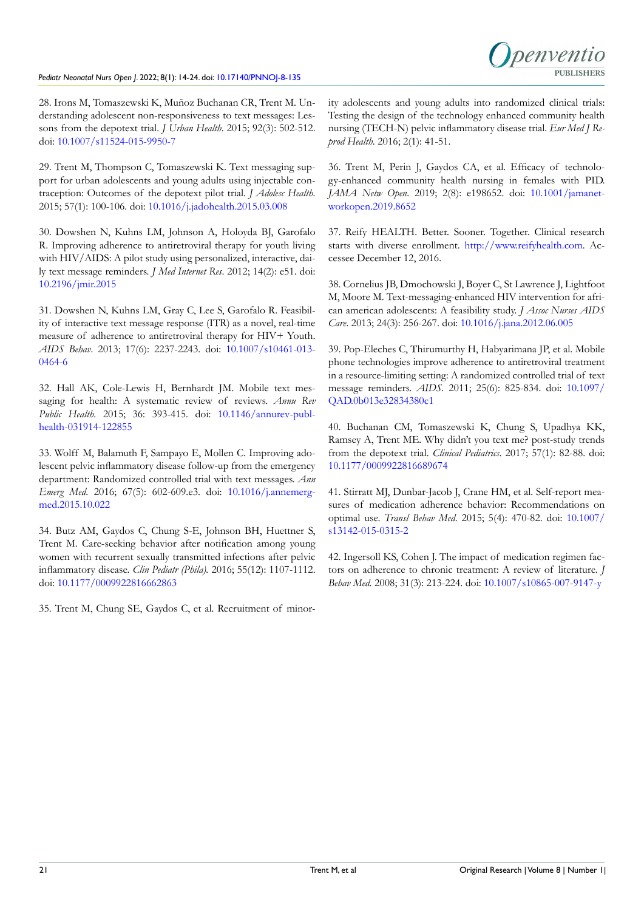penyentic **PURLISHERS** 

<span id="page-7-4"></span>28. Irons M, Tomaszewski K, Muñoz Buchanan CR, Trent M. Understanding adolescent non-responsiveness to text messages: Lessons from the depotext trial. *J Urban Health*. 2015; 92(3): 502-512. doi: [10.1007/s11524-015-9950-7](http://doi.org/10.1007/s11524-015-9950-7)

<span id="page-7-8"></span>29. Trent M, Thompson C, Tomaszewski K. Text messaging support for urban adolescents and young adults using injectable contraception: Outcomes of the depotext pilot trial. *J Adolesc Health*. 2015; 57(1): 100-106. doi: [10.1016/j.jadohealth.2015.03.008](http://doi.org/10.1016/j.jadohealth.2015.03.008)

<span id="page-7-0"></span>30. Dowshen N, Kuhns LM, Johnson A, Holoyda BJ, Garofalo R. Improving adherence to antiretroviral therapy for youth living with HIV/AIDS: A pilot study using personalized, interactive, daily text message reminders. *J Med Internet Res*. 2012; 14(2): e51. doi: [10.2196/jmir.2015](http://doi.org/10.2196/jmir.2015)

<span id="page-7-7"></span>31. Dowshen N, Kuhns LM, Gray C, Lee S, Garofalo R. Feasibility of interactive text message response (ITR) as a novel, real-time measure of adherence to antiretroviral therapy for HIV+ Youth. *AIDS Behav*. 2013; 17(6): 2237-2243. doi: [10.1007/s10461-013-](http://doi.org/10.1007/s10461-013-0464-6) [0464-6](http://doi.org/10.1007/s10461-013-0464-6)

<span id="page-7-5"></span>32. Hall AK, Cole-Lewis H, Bernhardt JM. Mobile text messaging for health: A systematic review of reviews. *Annu* Rev *Public Health*. 2015; 36: 393-415. doi: [10.1146/annurev-publ](http://doi.org/10.1146/annurev-publhealth-031914-122855)[health-031914-122855](http://doi.org/10.1146/annurev-publhealth-031914-122855)

<span id="page-7-1"></span>33. Wolff M, Balamuth F, Sampayo E, Mollen C. Improving adolescent pelvic inflammatory disease follow-up from the emergency department: Randomized controlled trial with text messages. *Ann Emerg Med*. 2016; 67(5): 602-609.e3. doi: [10.1016/j.annemerg](http://doi.org/10.1016/j.annemergmed.2015.10.022)[med.2015.10.022](http://doi.org/10.1016/j.annemergmed.2015.10.022)

<span id="page-7-2"></span>34. Butz AM, Gaydos C, Chung S-E, Johnson BH, Huettner S, Trent M. Care-seeking behavior after notification among young women with recurrent sexually transmitted infections after pelvic inflammatory disease. *Clin Pediatr (Phila).* 2016; 55(12): 1107-1112. doi: [10.1177/0009922816662863](http://doi.org/10.1177/0009922816662863)

35. Trent M, Chung SE, Gaydos C, et al. Recruitment of minor-

ity adolescents and young adults into randomized clinical trials: Testing the design of the technology enhanced community health nursing (TECH-N) pelvic inflammatory disease trial. *Eur Med J Reprod Health*. 2016; 2(1): 41-51.

<span id="page-7-3"></span>36. Trent M, Perin J, Gaydos CA, et al. Efficacy of technology-enhanced community health nursing in females with PID. *JAMA Netw Open*. 2019; 2(8): e198652. doi: [10.1001/jamanet](http://doi.org/10.1001/jamanetworkopen.2019.8652)[workopen.2019.8652](http://doi.org/10.1001/jamanetworkopen.2019.8652)

37. Reify HEALTH. Better. Sooner. Together. Clinical research starts with diverse enrollment. [http://www.reifyhealth.com.](http://www.reifyhealth.com) Accessee December 12, 2016.

<span id="page-7-6"></span>38. Cornelius JB, Dmochowski J, Boyer C, St Lawrence J, Lightfoot M, Moore M. Text-messaging-enhanced HIV intervention for african american adolescents: A feasibility study. *J Assoc Nurses AIDS Care*. 2013; 24(3): 256-267. doi: [10.1016/j.jana.2012.06.005](http://doi.org/10.1016/j.jana.2012.06.005)

<span id="page-7-12"></span>39. Pop-Eleches C, Thirumurthy H, Habyarimana JP, et al. Mobile phone technologies improve adherence to antiretroviral treatment in a resource-limiting setting: A randomized controlled trial of text message reminders. *AIDS*. 2011; 25(6): 825-834. doi: [10.1097/](http://doi.org/10.1097/QAD.0b013e32834380c1) [QAD.0b013e32834380c1](http://doi.org/10.1097/QAD.0b013e32834380c1)

<span id="page-7-9"></span>40. Buchanan CM, Tomaszewski K, Chung S, Upadhya KK, Ramsey A, Trent ME. Why didn't you text me? post-study trends from the depotext trial. *Clinical Pediatrics*. 2017; 57(1): 82-88. doi: [10.1177/0009922816689674](http://doi.org/10.1177/0009922816689674)

<span id="page-7-10"></span>41. Stirratt MJ, Dunbar-Jacob J, Crane HM, et al. Self-report measures of medication adherence behavior: Recommendations on optimal use. *Transl Behav Med*. 2015; 5(4): 470-82. doi: [10.1007/](http://doi.org/10.1007/s13142-015-0315-2) [s13142-015-0315-2](http://doi.org/10.1007/s13142-015-0315-2)

<span id="page-7-11"></span>42. Ingersoll KS, Cohen J. The impact of medication regimen factors on adherence to chronic treatment: A review of literature. *J Behav Med*. 2008; 31(3): 213-224. doi: [10.1007/s10865-007-9147-y](http://doi.org/10.1007/s10865-007-9147-y)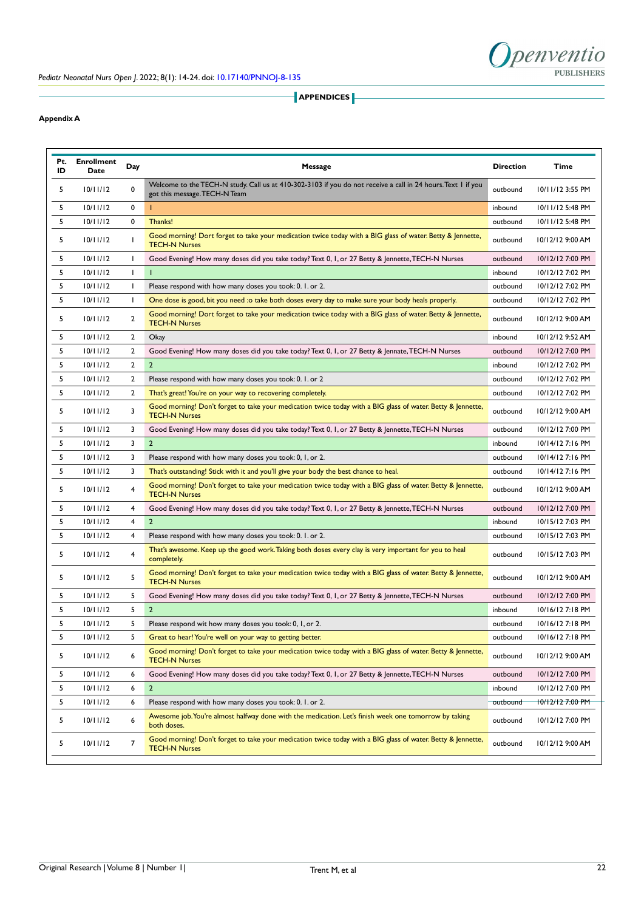

**APPENDICES** 

### **Appendix A**

| Pt.<br>ID | <b>Enrollment</b><br>Date | Day            | Message                                                                                                                                       |          | Time             |
|-----------|---------------------------|----------------|-----------------------------------------------------------------------------------------------------------------------------------------------|----------|------------------|
| 5         | 10/11/12                  | 0              | Welcome to the TECH-N study. Call us at 410-302-3103 if you do not receive a call in 24 hours. Text 1 if you<br>got this message. TECH-N Team | outbound | 10/11/12 3:55 PM |
| 5         | 10/11/12                  | 0              | т                                                                                                                                             | inbound  | 10/11/12 5:48 PM |
| 5         | 10/11/12                  | 0              | Thanks!                                                                                                                                       | outbound | 10/11/12 5:48 PM |
| 5         | 10/11/12                  |                | Good morning! Dort forget to take your medication twice today with a BIG glass of water. Betty & Jennette,<br><b>TECH-N Nurses</b>            | outbound | 10/12/12 9:00 AM |
| 5         | 10/11/12                  | -1             | Good Evening! How many doses did you take today? Text 0, 1, or 27 Betty & Jennette, TECH-N Nurses                                             | outbound | 10/12/12 7:00 PM |
| 5         | 10/11/12                  | $\mathbf{I}$   | т                                                                                                                                             | inbound  | 10/12/12 7:02 PM |
| 5         | 10/11/12                  | -1             | Please respond with how many doses you took: 0. 1. or 2.                                                                                      | outbound | 10/12/12 7:02 PM |
| 5         | 10/11/12                  | -1             | One dose is good, bit you need : o take both doses every day to make sure your body heals properly.                                           | outbound | 10/12/12 7:02 PM |
| 5         | 10/11/12                  | $\overline{2}$ | Good morning! Dort forget to take your medication twice today with a BIG glass of water. Betty & Jennette,<br><b>TECH-N Nurses</b>            | outbound | 10/12/12 9:00 AM |
| 5         | 10/11/12                  | 2              | Okay                                                                                                                                          | inbound  | 10/12/12 9:52 AM |
| 5         | 10/11/12                  | 2              | Good Evening! How many doses did you take today? Text 0, 1, or 27 Betty & Jennate, TECH-N Nurses                                              | outbound | 10/12/12 7:00 PM |
| 5         | 10/11/12                  | $\overline{2}$ | $\overline{2}$                                                                                                                                | inbound  | 10/12/12 7:02 PM |
| 5         | 10/11/12                  | 2              | Please respond with how many doses you took: 0. 1. or 2                                                                                       | outbound | 10/12/12 7:02 PM |
| 5         | 10/11/12                  | 2              | That's great! You're on your way to recovering completely.                                                                                    | outbound | 10/12/12 7:02 PM |
| 5         | 10/11/12                  | 3              | Good morning! Don't forget to take your medication twice today with a BIG glass of water. Betty & Jennette,<br><b>TECH-N Nurses</b>           | outbound | 10/12/12 9:00 AM |
| 5         | 10/11/12                  | 3              | Good Evening! How many doses did you take today? Text 0, 1, or 27 Betty & Jennette, TECH-N Nurses                                             | outbound | 10/12/12 7:00 PM |
| 5         | 10/11/12                  | 3              | $\mathbf{2}$                                                                                                                                  | inbound  | 10/14/12 7:16 PM |
| 5         | 10/11/12                  | 3              | Please respond with how many doses you took: 0, 1, or 2.                                                                                      | outbound | 10/14/12 7:16 PM |
| 5         | 10/11/12                  | 3              | That's outstanding! Stick with it and you'll give your body the best chance to heal.                                                          | outbound | 10/14/12 7:16 PM |
| 5         | 10/11/12                  | 4              | Good morning! Don't forget to take your medication twice today with a BIG glass of water. Betty & Jennette,<br><b>TECH-N Nurses</b>           | outbound | 10/12/12 9:00 AM |
| 5         | 10/11/12                  | 4              | Good Evening! How many doses did you take today? Text 0, 1, or 27 Betty & Jennette, TECH-N Nurses                                             | outbound | 10/12/12 7:00 PM |
| 5         | 10/11/12                  | 4              | $\mathbf{2}$                                                                                                                                  | inbound  | 10/15/12 7:03 PM |
| 5         | 10/11/12                  | 4              | Please respond with how many doses you took: 0. 1. or 2.                                                                                      | outbound | 10/15/12 7:03 PM |
| 5         | 10/11/12                  | 4              | That's awesome. Keep up the good work. Taking both doses every clay is very important for you to heal<br>completely.                          | outbound | 10/15/12 7:03 PM |
| 5         | 10/11/12                  | 5              | Good morning! Don't forget to take your medication twice today with a BIG glass of water. Betty & Jennette,<br><b>TECH-N Nurses</b>           | outbound | 10/12/12 9:00 AM |
| 5         | 10/11/12                  | 5              | Good Evening! How many doses did you take today? Text 0, 1, or 27 Betty & Jennette, TECH-N Nurses                                             | outbound | 10/12/12 7:00 PM |
| 5         | 10/11/12                  | 5              | $\overline{2}$                                                                                                                                | inbound  | 10/16/12 7:18 PM |
| 5         | 10/11/12                  | 5              | Please respond wit how many doses you took: 0, 1, or 2.                                                                                       | outbound | 10/16/12 7:18 PM |
| 5         | 10/11/12                  |                | Great to hear! You're well on your way to getting better.                                                                                     | outbound | 10/16/12 7:18 PM |
| 5         | 10/11/12                  | 6              | Good morning! Don't forget to take your medication twice today with a BIG glass of water. Betty & Jennette,<br><b>TECH-N Nurses</b>           | outbound | 10/12/12 9:00 AM |
| 5         | 10/11/12                  | 6              | Good Evening! How many doses did you take today? Text 0, 1, or 27 Betty & Jennette, TECH-N Nurses                                             | outbound | 10/12/12 7:00 PM |
| 5         | 10/11/12                  | 6              | $\overline{2}$                                                                                                                                | inbound  | 10/12/12 7:00 PM |
| 5         | 10/11/12                  | 6              | Please respond with how many doses you took: 0. 1. or 2.                                                                                      | outbound | 10/12/12 7:00 PM |
| 5         | 10/11/12                  | 6              | Awesome job. You're almost halfway done with the medication. Let's finish week one tomorrow by taking<br>both doses.                          | outbound | 10/12/12 7:00 PM |
| 5         | 10/11/12                  | 7              | Good morning! Don't forget to take your medication twice today with a BIG glass of water. Betty & Jennette,<br><b>TECH-N Nurses</b>           | outbound | 10/12/12 9:00 AM |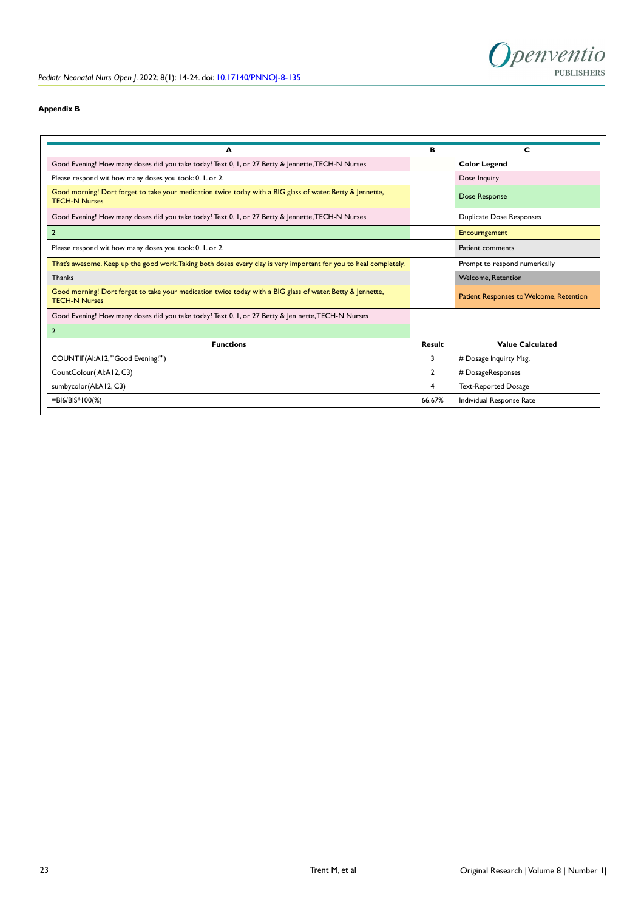

### **Appendix B**

| A                                                                                                                                  | в              | C                                       |
|------------------------------------------------------------------------------------------------------------------------------------|----------------|-----------------------------------------|
| Good Evening! How many doses did you take today? Text 0, 1, or 27 Betty & Jennette, TECH-N Nurses                                  |                | <b>Color Legend</b>                     |
| Please respond wit how many doses you took: 0. I. or 2.                                                                            |                | Dose Inquiry                            |
| Good morning! Dort forget to take your medication twice today with a BIG glass of water. Betty & Jennette,<br><b>TECH-N Nurses</b> |                | Dose Response                           |
| Good Evening! How many doses did you take today? Text 0, 1, or 27 Betty & Jennette, TECH-N Nurses                                  |                | Duplicate Dose Responses                |
| $\overline{2}$                                                                                                                     |                | Encourngement                           |
| Please respond wit how many doses you took: 0. 1. or 2.                                                                            |                | Patient comments                        |
| That's awesome. Keep up the good work. Taking both doses every clay is very important for you to heal completely.                  |                | Prompt to respond numerically           |
| <b>Thanks</b>                                                                                                                      |                | <b>Welcome, Retention</b>               |
| Good morning! Dort forget to take your medication twice today with a BIG glass of water. Betty & Jennette,<br><b>TECH-N Nurses</b> |                | Patient Responses to Welcome, Retention |
| Good Evening! How many doses did you take today? Text 0, 1, or 27 Betty & Jen nette, TECH-N Nurses                                 |                |                                         |
| $\overline{2}$                                                                                                                     |                |                                         |
| <b>Functions</b>                                                                                                                   | Result         | <b>Value Calculated</b>                 |
| COUNTIF(AI:A12," Good Evening!"")                                                                                                  | 3              | # Dosage Inquirty Msg.                  |
| CountColour(Al:A12, C3)                                                                                                            | $\overline{2}$ | # DosageResponses                       |
| sumbycolor(Al:A12, C3)                                                                                                             | 4              | Text-Reported Dosage                    |
| $=$ BI6/BIS*100(%)                                                                                                                 | 66.67%         | Individual Response Rate                |